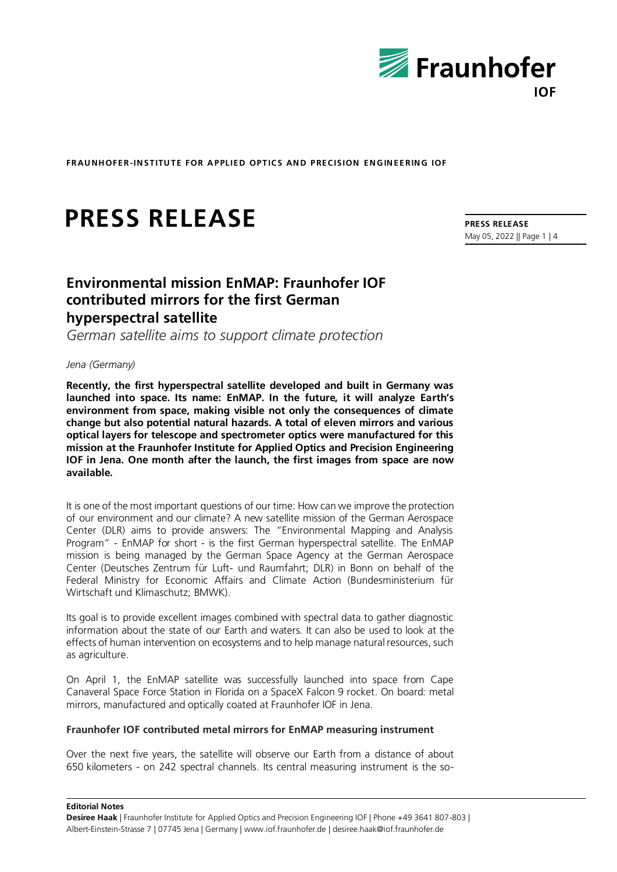

# **PRESS RELEASE**

#### **PRESS RELEASE** May 05, 2022 || Page 1 | 4

# **Environmental mission EnMAP: Fraunhofer IOF contributed mirrors for the first German hyperspectral satellite**

*German satellite aims to support climate protection*

# *Jena (Germany)*

**Recently, the first hyperspectral satellite developed and built in Germany was launched into space. Its name: EnMAP. In the future, it will analyze Earth's environment from space, making visible not only the consequences of climate change but also potential natural hazards. A total of eleven mirrors and various optical layers for telescope and spectrometer optics were manufactured for this mission at the Fraunhofer Institute for Applied Optics and Precision Engineering IOF in Jena. One month after the launch, the first images from space are now available.**

It is one of the most important questions of our time: How can we improve the protection of our environment and our climate? A new satellite mission of the German Aerospace Center (DLR) aims to provide answers: The "Environmental Mapping and Analysis Program" - EnMAP for short - is the first German hyperspectral satellite. The EnMAP mission is being managed by the German Space Agency at the German Aerospace Center (Deutsches Zentrum für Luft- und Raumfahrt; DLR) in Bonn on behalf of the Federal Ministry for Economic Affairs and Climate Action (Bundesministerium für Wirtschaft und Klimaschutz; BMWK).

Its goal is to provide excellent images combined with spectral data to gather diagnostic information about the state of our Earth and waters. It can also be used to look at the effects of human intervention on ecosystems and to help manage natural resources, such as agriculture.

On April 1, the EnMAP satellite was successfully launched into space from Cape Canaveral Space Force Station in Florida on a SpaceX Falcon 9 rocket. On board: metal mirrors, manufactured and optically coated at Fraunhofer IOF in Jena.

## **Fraunhofer IOF contributed metal mirrors for EnMAP measuring instrument**

Over the next five years, the satellite will observe our Earth from a distance of about 650 kilometers - on 242 spectral channels. Its central measuring instrument is the so-

**Editorial Notes**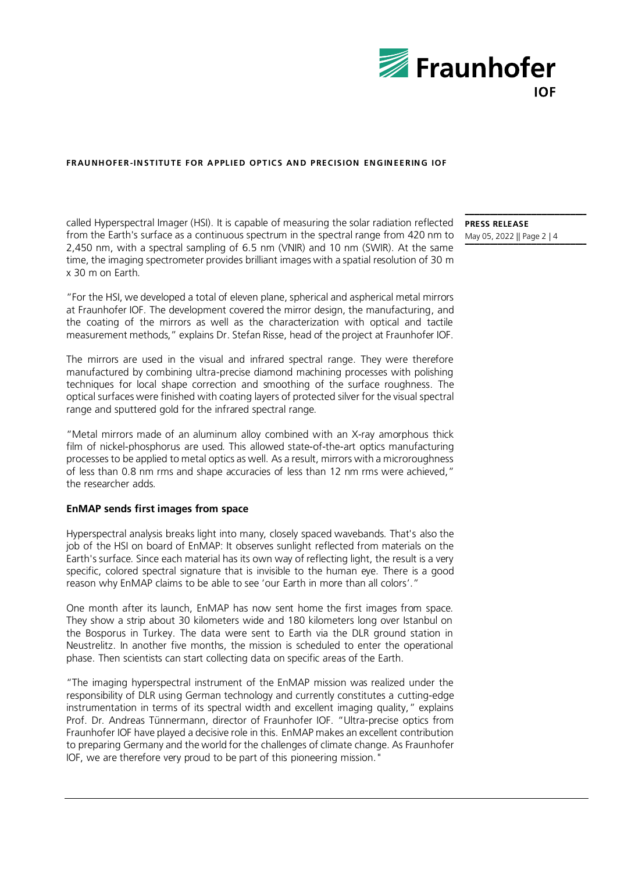

called Hyperspectral Imager (HSI). It is capable of measuring the solar radiation reflected from the Earth's surface as a continuous spectrum in the spectral range from 420 nm to 2,450 nm, with a spectral sampling of 6.5 nm (VNIR) and 10 nm (SWIR). At the same time, the imaging spectrometer provides brilliant images with a spatial resolution of 30 m x 30 m on Earth.

"For the HSI, we developed a total of eleven plane, spherical and aspherical metal mirrors at Fraunhofer IOF. The development covered the mirror design, the manufacturing, and the coating of the mirrors as well as the characterization with optical and tactile measurement methods," explains Dr. Stefan Risse, head of the project at Fraunhofer IOF.

The mirrors are used in the visual and infrared spectral range. They were therefore manufactured by combining ultra-precise diamond machining processes with polishing techniques for local shape correction and smoothing of the surface roughness. The optical surfaces were finished with coating layers of protected silver for the visual spectral range and sputtered gold for the infrared spectral range.

"Metal mirrors made of an aluminum alloy combined with an X-ray amorphous thick film of nickel-phosphorus are used. This allowed state-of-the-art optics manufacturing processes to be applied to metal optics as well. As a result, mirrors with a microroughness of less than 0.8 nm rms and shape accuracies of less than 12 nm rms were achieved," the researcher adds.

# **EnMAP sends first images from space**

Hyperspectral analysis breaks light into many, closely spaced wavebands. That's also the job of the HSI on board of EnMAP: It observes sunlight reflected from materials on the Earth's surface. Since each material has its own way of reflecting light, the result is a very specific, colored spectral signature that is invisible to the human eye. There is a good reason why EnMAP claims to be able to see 'our Earth in more than all colors'."

One month after its launch, EnMAP has now sent home the first images from space. They show a strip about 30 kilometers wide and 180 kilometers long over Istanbul on the Bosporus in Turkey. The data were sent to Earth via the DLR ground station in Neustrelitz. In another five months, the mission is scheduled to enter the operational phase. Then scientists can start collecting data on specific areas of the Earth.

"The imaging hyperspectral instrument of the EnMAP mission was realized under the responsibility of DLR using German technology and currently constitutes a cutting-edge instrumentation in terms of its spectral width and excellent imaging quality," explains Prof. Dr. Andreas Tünnermann, director of Fraunhofer IOF. "Ultra-precise optics from Fraunhofer IOF have played a decisive role in this. EnMAP makes an excellent contribution to preparing Germany and the world for the challenges of climate change. As Fraunhofer IOF, we are therefore very proud to be part of this pioneering mission."

**PRESS RELEASE** May 05, 2022 || Page 2 | 4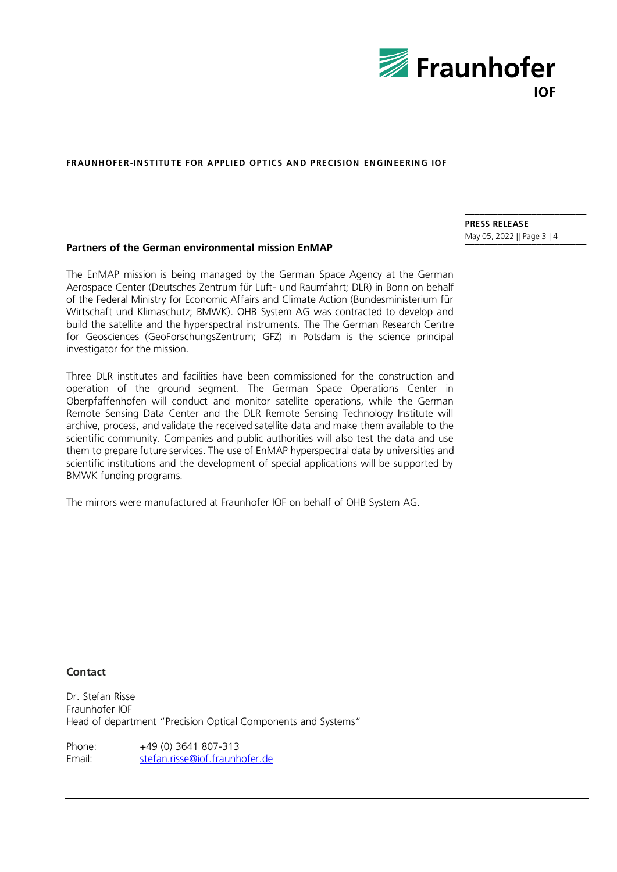

# **Partners of the German environmental mission EnMAP**

The EnMAP mission is being managed by the German Space Agency at the German Aerospace Center (Deutsches Zentrum für Luft- und Raumfahrt; DLR) in Bonn on behalf of the Federal Ministry for Economic Affairs and Climate Action (Bundesministerium für Wirtschaft und Klimaschutz; BMWK). OHB System AG was contracted to develop and build the satellite and the hyperspectral instruments. The The German Research Centre for Geosciences (GeoForschungsZentrum; GFZ) in Potsdam is the science principal investigator for the mission.

Three DLR institutes and facilities have been commissioned for the construction and operation of the ground segment. The German Space Operations Center in Oberpfaffenhofen will conduct and monitor satellite operations, while the German Remote Sensing Data Center and the DLR Remote Sensing Technology Institute will archive, process, and validate the received satellite data and make them available to the scientific community. Companies and public authorities will also test the data and use them to prepare future services. The use of EnMAP hyperspectral data by universities and scientific institutions and the development of special applications will be supported by BMWK funding programs.

The mirrors were manufactured at Fraunhofer IOF on behalf of OHB System AG.

**Contact**

Dr. Stefan Risse Fraunhofer IOF Head of department "Precision Optical Components and Systems"

Phone: +49 (0) 3641 807-313 Email: [stefan.risse@iof.fraunhofer.de](mailto:stefan.risse@iof.fraunhofer.de) **PRESS RELEASE** May 05, 2022 || Page 3 | 4